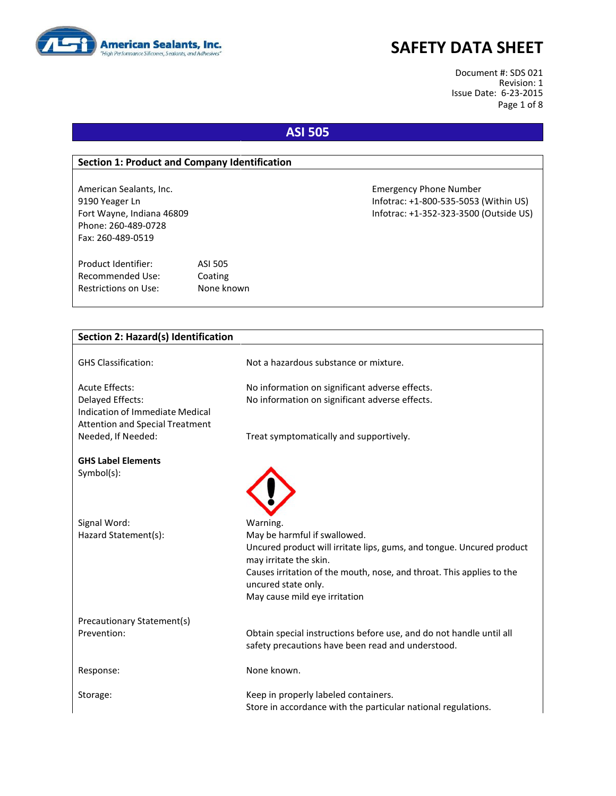

# **SAFETY DATA SHEET**

Document #: SDS 021 Revision: 1 Issue Date: 6-23-2015 Page 1 of 8

# **ASI 505**

#### **Section 1: Product and Company Identification**

Phone: 260-489-0728 Fax: 260-489-0519

Product Identifier: ASI 505 Recommended Use: Coating Restrictions on Use: None known

American Sealants, Inc. Emergency Phone Number 9190 Yeager Ln Infotrac: +1-800-535-5053 (Within US) Fort Wayne, Indiana 46809 Infotrac: +1-352-323-3500 (Outside US)

| <b>Section 2: Hazard(s) Identification</b>          |                                                                                                 |
|-----------------------------------------------------|-------------------------------------------------------------------------------------------------|
| <b>GHS Classification:</b>                          | Not a hazardous substance or mixture.                                                           |
| <b>Acute Effects:</b>                               | No information on significant adverse effects.                                                  |
| Delayed Effects:<br>Indication of Immediate Medical | No information on significant adverse effects.                                                  |
| <b>Attention and Special Treatment</b>              |                                                                                                 |
| Needed, If Needed:                                  | Treat symptomatically and supportively.                                                         |
| <b>GHS Label Elements</b>                           |                                                                                                 |
| Symbol(s):                                          |                                                                                                 |
|                                                     |                                                                                                 |
|                                                     |                                                                                                 |
| Signal Word:                                        | Warning.                                                                                        |
| Hazard Statement(s):                                | May be harmful if swallowed.                                                                    |
|                                                     | Uncured product will irritate lips, gums, and tongue. Uncured product<br>may irritate the skin. |
|                                                     | Causes irritation of the mouth, nose, and throat. This applies to the<br>uncured state only.    |
|                                                     | May cause mild eye irritation                                                                   |
| Precautionary Statement(s)                          |                                                                                                 |
| Prevention:                                         | Obtain special instructions before use, and do not handle until all                             |
|                                                     | safety precautions have been read and understood.                                               |
| Response:                                           | None known.                                                                                     |
| Storage:                                            | Keep in properly labeled containers.                                                            |
|                                                     | Store in accordance with the particular national regulations.                                   |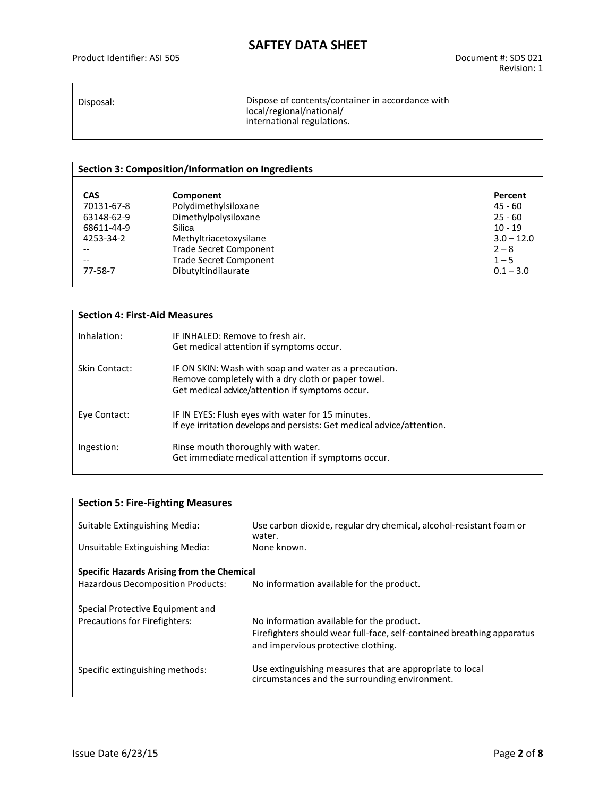Disposal: Dispose of contents/container in accordance with local/regional/national/ international regulations.

### **Section 3: Composition/Information on Ingredients CAS Component**<br> **CAS Percent**<br> **Percent**<br> **Percent**<br> **Percent**<br> **Percent**<br> **Percent**<br> **Percent**<br> **Percent**<br> **Percent** 70131-67-8 Polydimethylsiloxane 1991 and 1991 and 1992 and 1992 and 1992 and 1993 and 1993 and 1994 and 1993 a<br>
45 - 60 Dimethylpolysiloxane 1993 and 1999 and 1999 and 1999 and 1999 and 1999 and 1999 and 1999 and 1999 and<br> 63148-62-9 Dimethylpolysiloxane 25 - 60<br>68611-44-9 Silica 10 - 19 68611-44-9 Silica 10 - 19 4253-34-2 Methyltriacetoxysilane 3.0 – 12.0<br>
-- Trade Secret Component -- Trade Secret Component 2 – 8 -- Trade Secret Component 1 – 5 Dibutyltindilaurate

| <b>Section 4: First-Aid Measures</b> |                                                                                                                                                                |
|--------------------------------------|----------------------------------------------------------------------------------------------------------------------------------------------------------------|
| Inhalation:                          | IF INHALED: Remove to fresh air.<br>Get medical attention if symptoms occur.                                                                                   |
| Skin Contact:                        | IF ON SKIN: Wash with soap and water as a precaution.<br>Remove completely with a dry cloth or paper towel.<br>Get medical advice/attention if symptoms occur. |
| Eye Contact:                         | IF IN EYES: Flush eyes with water for 15 minutes.<br>If eye irritation develops and persists: Get medical advice/attention.                                    |
| Ingestion:                           | Rinse mouth thoroughly with water.<br>Get immediate medical attention if symptoms occur.                                                                       |

| <b>Section 5: Fire-Fighting Measures</b>   |                                                                                                               |  |
|--------------------------------------------|---------------------------------------------------------------------------------------------------------------|--|
|                                            |                                                                                                               |  |
| Suitable Extinguishing Media:              | Use carbon dioxide, regular dry chemical, alcohol-resistant foam or<br>water.                                 |  |
| Unsuitable Extinguishing Media:            | None known.                                                                                                   |  |
| Specific Hazards Arising from the Chemical |                                                                                                               |  |
| Hazardous Decomposition Products:          | No information available for the product.                                                                     |  |
| Special Protective Equipment and           |                                                                                                               |  |
| Precautions for Firefighters:              | No information available for the product.                                                                     |  |
|                                            | Firefighters should wear full-face, self-contained breathing apparatus<br>and impervious protective clothing. |  |
| Specific extinguishing methods:            | Use extinguishing measures that are appropriate to local<br>circumstances and the surrounding environment.    |  |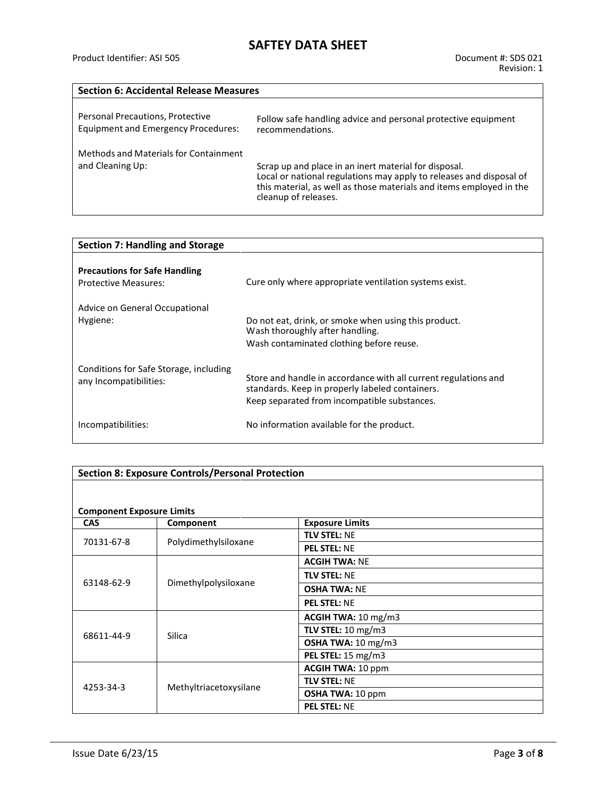### **Section 6: Accidental Release Measures**

| Personal Precautions, Protective                          | Follow safe handling advice and personal protective equipment                                                                                                                                                               |
|-----------------------------------------------------------|-----------------------------------------------------------------------------------------------------------------------------------------------------------------------------------------------------------------------------|
| <b>Equipment and Emergency Procedures:</b>                | recommendations.                                                                                                                                                                                                            |
| Methods and Materials for Containment<br>and Cleaning Up: | Scrap up and place in an inert material for disposal.<br>Local or national regulations may apply to releases and disposal of<br>this material, as well as those materials and items employed in the<br>cleanup of releases. |

| <b>Section 7: Handling and Storage</b>                           |                                                                                                                                                                    |  |
|------------------------------------------------------------------|--------------------------------------------------------------------------------------------------------------------------------------------------------------------|--|
| <b>Precautions for Safe Handling</b><br>Protective Measures:     | Cure only where appropriate ventilation systems exist.                                                                                                             |  |
| Advice on General Occupational<br>Hygiene:                       | Do not eat, drink, or smoke when using this product.<br>Wash thoroughly after handling.<br>Wash contaminated clothing before reuse.                                |  |
| Conditions for Safe Storage, including<br>any Incompatibilities: | Store and handle in accordance with all current regulations and<br>standards. Keep in properly labeled containers.<br>Keep separated from incompatible substances. |  |
| Incompatibilities:                                               | No information available for the product.                                                                                                                          |  |

### **Section 8: Exposure Controls/Personal Protection**

#### **Component Exposure Limits**

| COMPONENT EXPOSURE LIMING |                        |                               |
|---------------------------|------------------------|-------------------------------|
| <b>CAS</b>                | Component              | <b>Exposure Limits</b>        |
| 70131-67-8                | Polydimethylsiloxane   | <b>TLV STEL: NE</b>           |
|                           |                        | <b>PEL STEL: NE</b>           |
|                           | Dimethylpolysiloxane   | <b>ACGIH TWA: NE</b>          |
| 63148-62-9                |                        | <b>TLV STEL: NE</b>           |
|                           |                        | <b>OSHA TWA: NE</b>           |
|                           |                        | <b>PEL STEL: NE</b>           |
|                           | Silica                 | ACGIH TWA: 10 mg/m3           |
| 68611-44-9                |                        | TLV STEL: $10 \text{ mg/m}$ 3 |
|                           |                        | OSHA TWA: $10 \text{ mg/m}$ 3 |
|                           |                        | PEL STEL: 15 mg/m3            |
| 4253-34-3                 | Methyltriacetoxysilane | <b>ACGIH TWA: 10 ppm</b>      |
|                           |                        | <b>TLV STEL: NE</b>           |
|                           |                        | <b>OSHA TWA: 10 ppm</b>       |
|                           |                        | <b>PEL STEL: NE</b>           |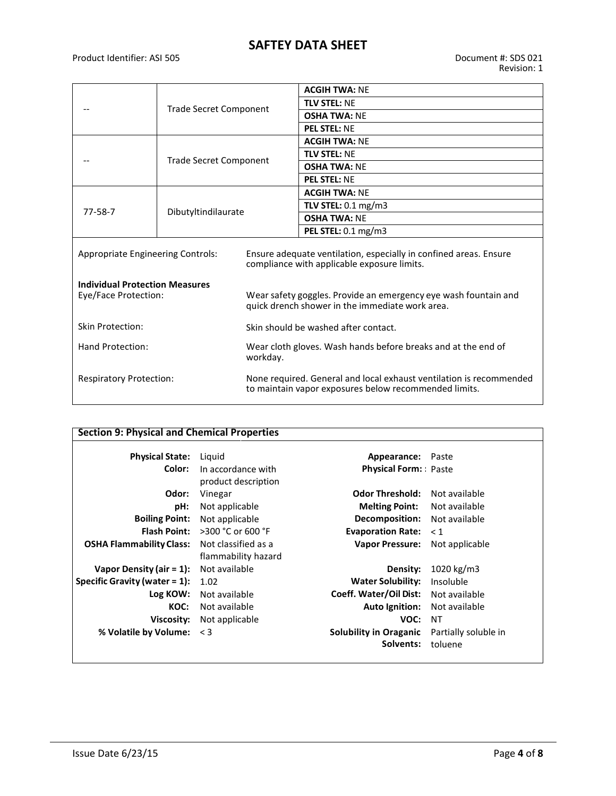# **SAFTEY DATA SHEET**

Product Identifier: ASI 505 Document #: SDS 021

|                                                               |                               |                                                                           | <b>ACGIH TWA: NE</b>                                                                                                         |
|---------------------------------------------------------------|-------------------------------|---------------------------------------------------------------------------|------------------------------------------------------------------------------------------------------------------------------|
|                                                               | <b>Trade Secret Component</b> |                                                                           | <b>TLV STEL: NF</b>                                                                                                          |
|                                                               |                               |                                                                           | <b>OSHA TWA: NF</b>                                                                                                          |
|                                                               |                               |                                                                           | <b>PEL STEL: NE</b>                                                                                                          |
|                                                               |                               |                                                                           | <b>ACGIH TWA: NE</b>                                                                                                         |
|                                                               | <b>Trade Secret Component</b> |                                                                           | <b>TLV STEL: NE</b>                                                                                                          |
|                                                               |                               |                                                                           | <b>OSHA TWA: NF</b>                                                                                                          |
|                                                               |                               |                                                                           | <b>PEL STEL: NE</b>                                                                                                          |
|                                                               |                               |                                                                           | <b>ACGIH TWA: NE</b>                                                                                                         |
| $77 - 58 - 7$                                                 | Dibutyltindilaurate           |                                                                           | TLV STEL: 0.1 mg/m3                                                                                                          |
|                                                               |                               |                                                                           | <b>OSHA TWA: NF</b>                                                                                                          |
|                                                               |                               |                                                                           | PEL STEL: 0.1 mg/m3                                                                                                          |
| Appropriate Engineering Controls:                             |                               |                                                                           | Ensure adequate ventilation, especially in confined areas. Ensure<br>compliance with applicable exposure limits.             |
| <b>Individual Protection Measures</b><br>Eye/Face Protection: |                               |                                                                           | Wear safety goggles. Provide an emergency eye wash fountain and<br>quick drench shower in the immediate work area.           |
| Skin Protection:                                              |                               | Skin should be washed after contact.                                      |                                                                                                                              |
| Hand Protection:                                              |                               | Wear cloth gloves. Wash hands before breaks and at the end of<br>workday. |                                                                                                                              |
| <b>Respiratory Protection:</b>                                |                               |                                                                           | None required. General and local exhaust ventilation is recommended<br>to maintain vapor exposures below recommended limits. |

| <b>Section 9: Physical and Chemical Properties</b> |                      |                               |                      |
|----------------------------------------------------|----------------------|-------------------------------|----------------------|
| <b>Physical State:</b>                             | Liguid               | Appearance:                   | Paste                |
| Color:                                             | In accordance with   | <b>Physical Form:: Paste</b>  |                      |
|                                                    | product description  |                               |                      |
| Odor:                                              | Vinegar              | <b>Odor Threshold:</b>        | Not available        |
| pH:                                                | Not applicable       | <b>Melting Point:</b>         | Not available        |
| <b>Boiling Point:</b>                              | Not applicable       | Decomposition:                | Not available        |
| <b>Flash Point:</b>                                | $>$ 300 °C or 600 °F | <b>Evaporation Rate:</b>      | $\leq 1$             |
| <b>OSHA Flammability Class:</b>                    | Not classified as a  | <b>Vapor Pressure:</b>        | Not applicable       |
|                                                    | flammability hazard  |                               |                      |
| Vapor Density (air = $1$ ):                        | Not available        | Density:                      | 1020 kg/m3           |
| Specific Gravity (water $= 1$ ):                   | 1.02                 | <b>Water Solubility:</b>      | Insoluble            |
| Log KOW:                                           | Not available        | Coeff. Water/Oil Dist:        | Not available        |
| KOC:                                               | Not available        | <b>Auto Ignition:</b>         | Not available        |
| Viscosity:                                         | Not applicable       | VOC:                          | ΝT                   |
| % Volatile by Volume: < 3                          |                      | <b>Solubility in Oraganic</b> | Partially soluble in |
|                                                    |                      | Solvents:                     | toluene              |
|                                                    |                      |                               |                      |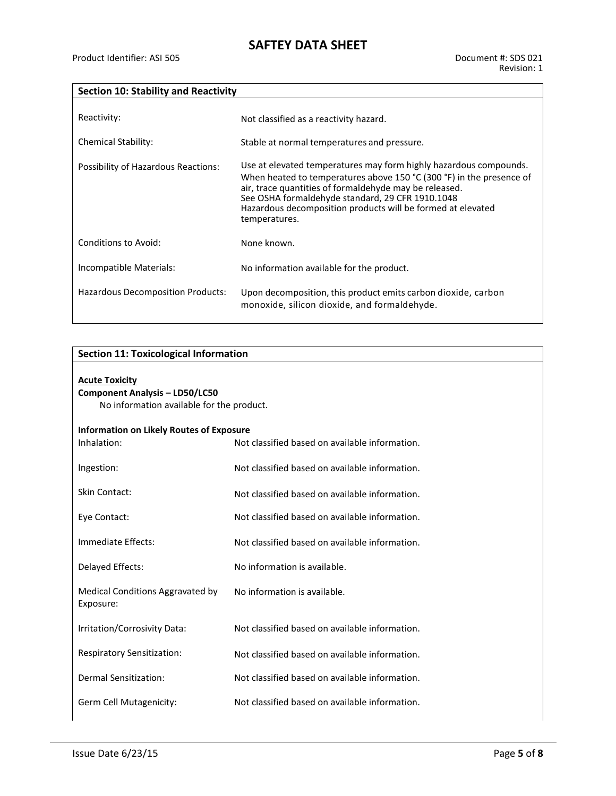### **Section 10: Stability and Reactivity**

| Reactivity:                         | Not classified as a reactivity hazard.                                                                                                                                                                                                                                                                                                  |
|-------------------------------------|-----------------------------------------------------------------------------------------------------------------------------------------------------------------------------------------------------------------------------------------------------------------------------------------------------------------------------------------|
| <b>Chemical Stability:</b>          | Stable at normal temperatures and pressure.                                                                                                                                                                                                                                                                                             |
| Possibility of Hazardous Reactions: | Use at elevated temperatures may form highly hazardous compounds.<br>When heated to temperatures above 150 °C (300 °F) in the presence of<br>air, trace quantities of formaldehyde may be released.<br>See OSHA formaldehyde standard, 29 CFR 1910.1048<br>Hazardous decomposition products will be formed at elevated<br>temperatures. |
| Conditions to Avoid:                | None known.                                                                                                                                                                                                                                                                                                                             |
| Incompatible Materials:             | No information available for the product.                                                                                                                                                                                                                                                                                               |
| Hazardous Decomposition Products:   | Upon decomposition, this product emits carbon dioxide, carbon<br>monoxide, silicon dioxide, and formaldehyde.                                                                                                                                                                                                                           |

#### **Section 11: Toxicological Information**

| <b>Acute Toxicity</b><br><b>Component Analysis - LD50/LC50</b><br>No information available for the product. |                                                |  |
|-------------------------------------------------------------------------------------------------------------|------------------------------------------------|--|
| Information on Likely Routes of Exposure<br>Inhalation:                                                     | Not classified based on available information. |  |
| Ingestion:                                                                                                  | Not classified based on available information. |  |
| Skin Contact:                                                                                               | Not classified based on available information. |  |
| Eye Contact:                                                                                                | Not classified based on available information. |  |
| Immediate Effects:                                                                                          | Not classified based on available information. |  |
| Delayed Effects:                                                                                            | No information is available.                   |  |
| Medical Conditions Aggravated by<br>Exposure:                                                               | No information is available.                   |  |
| Irritation/Corrosivity Data:                                                                                | Not classified based on available information. |  |
| <b>Respiratory Sensitization:</b>                                                                           | Not classified based on available information. |  |
| Dermal Sensitization:                                                                                       | Not classified based on available information. |  |

Germ Cell Mutagenicity: Not classified based on available information.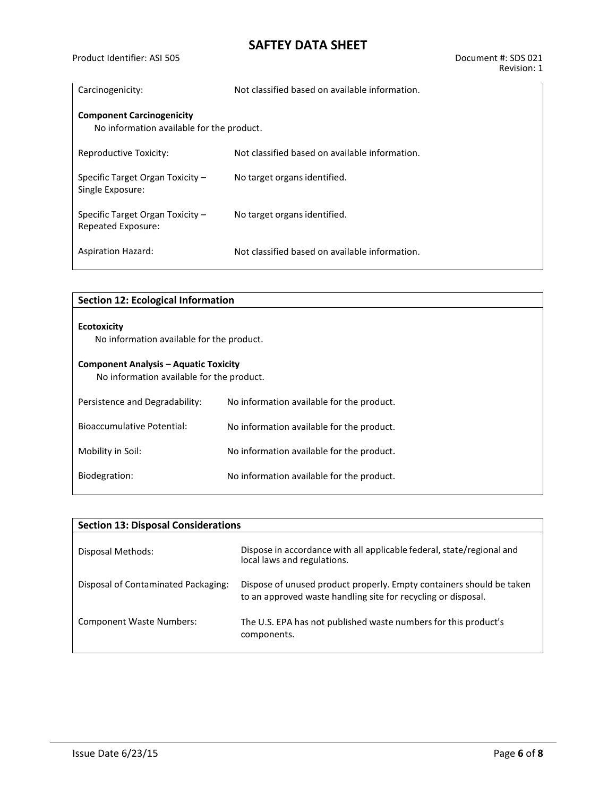# **SAFTEY DATA SHEET**

| Carcinogenicity:                                                              | Not classified based on available information. |
|-------------------------------------------------------------------------------|------------------------------------------------|
| <b>Component Carcinogenicity</b><br>No information available for the product. |                                                |
| Reproductive Toxicity:                                                        | Not classified based on available information. |
| Specific Target Organ Toxicity -<br>Single Exposure:                          | No target organs identified.                   |
| Specific Target Organ Toxicity -<br>Repeated Exposure:                        | No target organs identified.                   |
| <b>Aspiration Hazard:</b>                                                     | Not classified based on available information. |

| <b>Section 12: Ecological Information</b>                                                 |                                           |  |
|-------------------------------------------------------------------------------------------|-------------------------------------------|--|
| <b>Ecotoxicity</b>                                                                        |                                           |  |
| No information available for the product.                                                 |                                           |  |
| <b>Component Analysis – Aquatic Toxicity</b><br>No information available for the product. |                                           |  |
| Persistence and Degradability:                                                            | No information available for the product. |  |
| Bioaccumulative Potential:                                                                | No information available for the product. |  |
| Mobility in Soil:                                                                         | No information available for the product. |  |
| Biodegration:                                                                             | No information available for the product. |  |

| <b>Section 13: Disposal Considerations</b> |                                                                                                                                       |  |  |  |
|--------------------------------------------|---------------------------------------------------------------------------------------------------------------------------------------|--|--|--|
| Disposal Methods:                          | Dispose in accordance with all applicable federal, state/regional and<br>local laws and regulations.                                  |  |  |  |
| Disposal of Contaminated Packaging:        | Dispose of unused product properly. Empty containers should be taken<br>to an approved waste handling site for recycling or disposal. |  |  |  |
| <b>Component Waste Numbers:</b>            | The U.S. EPA has not published waste numbers for this product's<br>components.                                                        |  |  |  |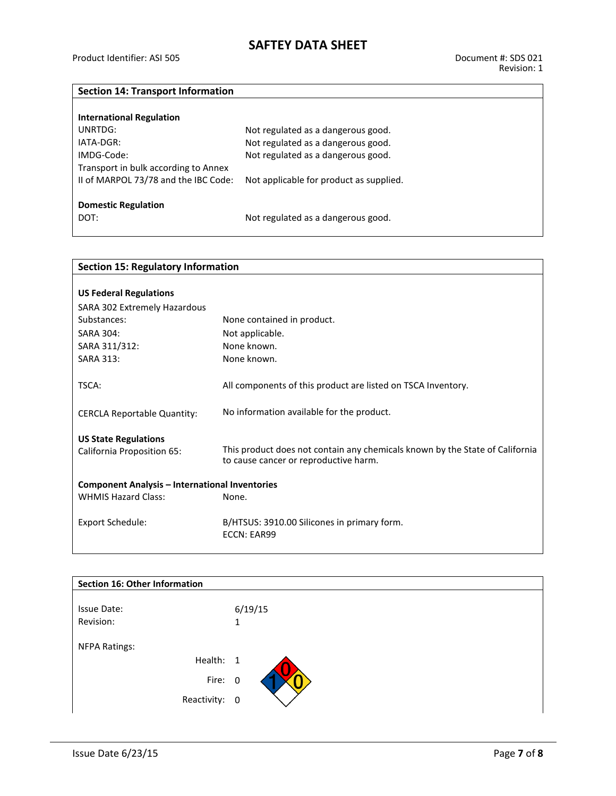## **Section 14: Transport Information**

| <b>International Regulation</b>      |                                         |
|--------------------------------------|-----------------------------------------|
| UNRTDG:                              | Not regulated as a dangerous good.      |
| IATA-DGR:                            | Not regulated as a dangerous good.      |
| IMDG-Code:                           | Not regulated as a dangerous good.      |
| Transport in bulk according to Annex |                                         |
| II of MARPOL 73/78 and the IBC Code: | Not applicable for product as supplied. |
|                                      |                                         |
| <b>Domestic Regulation</b>           |                                         |
| DOT:                                 | Not regulated as a dangerous good.      |

| <b>Section 15: Regulatory Information</b>             |                                                                              |  |  |  |
|-------------------------------------------------------|------------------------------------------------------------------------------|--|--|--|
|                                                       |                                                                              |  |  |  |
| <b>US Federal Regulations</b>                         |                                                                              |  |  |  |
| SARA 302 Extremely Hazardous                          |                                                                              |  |  |  |
| Substances:                                           | None contained in product.                                                   |  |  |  |
| SARA 304:                                             | Not applicable.                                                              |  |  |  |
| SARA 311/312:                                         | None known.                                                                  |  |  |  |
| <b>SARA 313:</b>                                      | None known.                                                                  |  |  |  |
|                                                       |                                                                              |  |  |  |
| TSCA:                                                 | All components of this product are listed on TSCA Inventory.                 |  |  |  |
|                                                       |                                                                              |  |  |  |
| <b>CERCLA Reportable Quantity:</b>                    | No information available for the product.                                    |  |  |  |
|                                                       |                                                                              |  |  |  |
| <b>US State Regulations</b>                           |                                                                              |  |  |  |
| California Proposition 65:                            | This product does not contain any chemicals known by the State of California |  |  |  |
|                                                       | to cause cancer or reproductive harm.                                        |  |  |  |
| <b>Component Analysis - International Inventories</b> |                                                                              |  |  |  |
| <b>WHMIS Hazard Class:</b>                            | None.                                                                        |  |  |  |
|                                                       |                                                                              |  |  |  |
| <b>Export Schedule:</b>                               | B/HTSUS: 3910.00 Silicones in primary form.                                  |  |  |  |
|                                                       | ECCN: EAR99                                                                  |  |  |  |
|                                                       |                                                                              |  |  |  |

| Section 16: Other Information |         |
|-------------------------------|---------|
| Issue Date:                   | 6/19/15 |
| Revision:                     | 1       |
| <b>NFPA Ratings:</b>          |         |
| Health: 1                     |         |
|                               | Fire: 0 |
| Reactivity: 0                 |         |